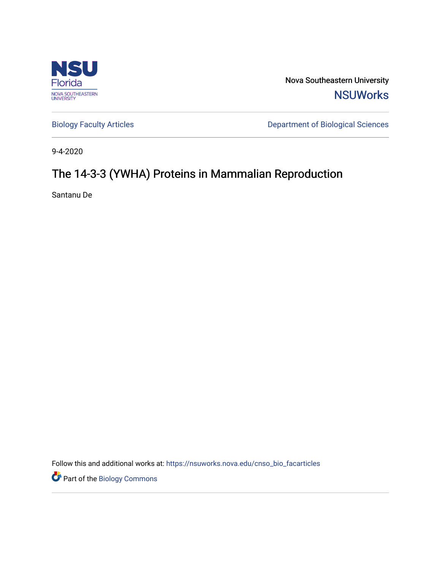

Nova Southeastern University **NSUWorks** 

[Biology Faculty Articles](https://nsuworks.nova.edu/cnso_bio_facarticles) **Department of Biological Sciences** 

9-4-2020

# The 14-3-3 (YWHA) Proteins in Mammalian Reproduction

Santanu De

Follow this and additional works at: [https://nsuworks.nova.edu/cnso\\_bio\\_facarticles](https://nsuworks.nova.edu/cnso_bio_facarticles?utm_source=nsuworks.nova.edu%2Fcnso_bio_facarticles%2F1038&utm_medium=PDF&utm_campaign=PDFCoverPages) 

**Part of the Biology Commons**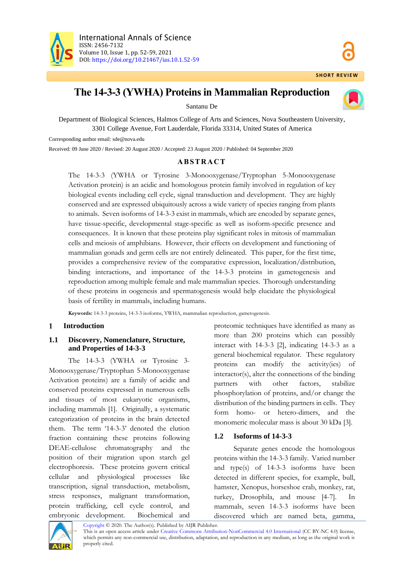

# **The 14-3-3 (YWHA) Proteinsin Mammalian Reproduction**



Santanu De

Department of Biological Sciences, Halmos College of Arts and Sciences, Nova Southeastern University, 3301 College Avenue, Fort Lauderdale, Florida 33314, United States of America

Corresponding author email: sde@nova.edu

Received: 09 June 2020 / Revised: 20 August 2020 / Accepted: 23 August 2020 / Published: 04 September 2020

# **A B S T R A C T**

The 14-3-3 (YWHA or Tyrosine 3-Monooxygenase/Tryptophan 5-Monooxygenase Activation protein) is an acidic and homologous protein family involved in regulation of key biological events including cell cycle, signal transduction and development. They are highly conserved and are expressed ubiquitously across a wide variety of species ranging from plants to animals. Seven isoforms of 14-3-3 exist in mammals, which are encoded by separate genes, have tissue-specific, developmental stage-specific as well as isoform-specific presence and consequences. It is known that these proteins play significant roles in mitosis of mammalian cells and meiosis of amphibians. However, their effects on development and functioning of mammalian gonads and germ cells are not entirely delineated. This paper, for the first time, provides a comprehensive review of the comparative expression, localization/distribution, binding interactions, and importance of the 14-3-3 proteins in gametogenesis and reproduction among multiple female and male mammalian species. Thorough understanding of these proteins in oogenesis and spermatogenesis would help elucidate the physiological basis of fertility in mammals, including humans.

**Keywords:** 14-3-3 proteins, 14-3-3 isoforms, YWHA, mammalian reproduction, gametogenesis.

#### $\mathbf{1}$ **Introduction**

# **1.1 Discovery, Nomenclature, Structure, and Properties of 14-3-3**

The 14-3-3 (YWHA or Tyrosine 3- Monooxygenase/Tryptophan 5-Monooxygenase Activation proteins) are a family of acidic and conserved proteins expressed in numerous cells and tissues of most eukaryotic organisms, including mammals [1]. Originally, a systematic categorization of proteins in the brain detected them. The term '14-3-3' denoted the elution fraction containing these proteins following DEAE-cellulose chromatography and the position of their migration upon starch gel electrophoresis. These proteins govern critical cellular and physiological processes like transcription, signal transduction, metabolism, stress responses, malignant transformation, protein trafficking, cell cycle control, and embryonic development. Biochemical and

proteomic techniques have identified as many as more than 200 proteins which can possibly interact with 14-3-3 [2], indicating 14-3-3 as a general biochemical regulator. These regulatory proteins can modify the activity(ies) of interactor(s), alter the connections of the binding partners with other factors, stabilize phosphorylation of proteins, and/or change the distribution of the binding partners in cells. They form homo- or hetero-dimers, and the monomeric molecular mass is about 30 kDa [3].

# **1.2 Isoforms of 14-3-3**

Separate genes encode the homologous proteins within the 14-3-3 family. Varied number and type(s) of 14-3-3 isoforms have been detected in different species, for example, bull, hamster, Xenopus, horseshoe crab, monkey, rat, turkey, Drosophila, and mouse [4-7]. In mammals, seven 14-3-3 isoforms have been discovered which are named beta, gamma,



[Copyright](https://www.aijr.in/about/policies/copyright/) © 2020. The Author(s). Published by AIJR Publisher.

This is an open access article under [Creative Commons Attribution-NonCommercial 4.0 International](https://creativecommons.org/licenses/by-nc/4.0/) (CC BY-NC 4.0) license, which permits any non-commercial use, distribution, adaptation, and reproduction in any medium, as long as the original work is properly cited.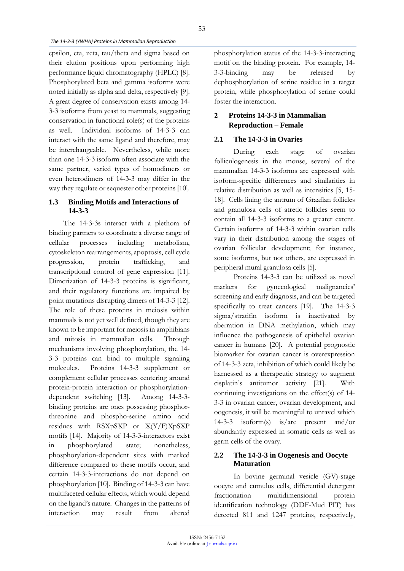epsilon, eta, zeta, tau/theta and sigma based on their elution positions upon performing high performance liquid chromatography (HPLC) [8]. Phosphorylated beta and gamma isoforms were noted initially as alpha and delta, respectively [9]. A great degree of conservation exists among 14- 3-3 isoforms from yeast to mammals, suggesting conservation in functional role(s) of the proteins as well. Individual isoforms of 14-3-3 can interact with the same ligand and therefore, may be interchangeable. Nevertheless, while more than one 14-3-3 isoform often associate with the same partner, varied types of homodimers or even heterodimers of 14-3-3 may differ in the way they regulate or sequester other proteins [10].

# **1.3 Binding Motifs and Interactions of 14-3-3**

The 14-3-3s interact with a plethora of binding partners to coordinate a diverse range of cellular processes including metabolism, cytoskeleton rearrangements, apoptosis, cell cycle progression, protein trafficking, and transcriptional control of gene expression [11]. Dimerization of 14-3-3 proteins is significant, and their regulatory functions are impaired by point mutations disrupting dimers of 14-3-3 [12]. The role of these proteins in meiosis within mammals is not yet well defined, though they are known to be important for meiosis in amphibians and mitosis in mammalian cells. Through mechanisms involving phosphorylation, the 14- 3-3 proteins can bind to multiple signaling molecules. Proteins 14-3-3 supplement or complement cellular processes centering around protein-protein interaction or phosphorylationdependent switching [13]. Among 14-3-3 binding proteins are ones possessing phosphorthreonine and phospho-serine amino acid residues with RSXpSXP or X(Y/F)XpSXP motifs [14]. Majority of 14-3-3-interactors exist in phosphorylated state; nonetheless, phosphorylation-dependent sites with marked difference compared to these motifs occur, and certain 14-3-3-interactions do not depend on phosphorylation [10]. Binding of 14-3-3 can have multifaceted cellular effects, which would depend on the ligand's nature. Changes in the patterns of interaction may result from altered

phosphorylation status of the 14-3-3-interacting motif on the binding protein. For example, 14- 3-3-binding may be released by dephosphorylation of serine residue in a target protein, while phosphorylation of serine could foster the interaction.

#### **Proteins 14-3-3 in Mammalian**   $\mathcal{D}$ **Reproduction – Female**

# **2.1 The 14-3-3 in Ovaries**

During each stage of ovarian folliculogenesis in the mouse, several of the mammalian 14-3-3 isoforms are expressed with isoform-specific differences and similarities in relative distribution as well as intensities [5, 15- 18]. Cells lining the antrum of Graafian follicles and granulosa cells of atretic follicles seem to contain all 14-3-3 isoforms to a greater extent. Certain isoforms of 14-3-3 within ovarian cells vary in their distribution among the stages of ovarian follicular development; for instance, some isoforms, but not others, are expressed in peripheral mural granulosa cells [5].

Proteins 14-3-3 can be utilized as novel markers for gynecological malignancies' screening and early diagnosis, and can be targeted specifically to treat cancers [19]. The 14-3-3 sigma/stratifin isoform is inactivated by aberration in DNA methylation, which may influence the pathogenesis of epithelial ovarian cancer in humans [20]. A potential prognostic biomarker for ovarian cancer is overexpression of 14-3-3 zeta, inhibition of which could likely be harnessed as a therapeutic strategy to augment cisplatin's antitumor activity [21]. With continuing investigations on the effect(s) of 14- 3-3 in ovarian cancer, ovarian development, and oogenesis, it will be meaningful to unravel which 14-3-3 isoform(s) is/are present and/or abundantly expressed in somatic cells as well as germ cells of the ovary.

# **2.2 The 14-3-3 in Oogenesis and Oocyte Maturation**

In bovine germinal vesicle (GV)-stage oocyte and cumulus cells, differential detergent fractionation multidimensional protein identification technology (DDF-Mud PIT) has detected 811 and 1247 proteins, respectively,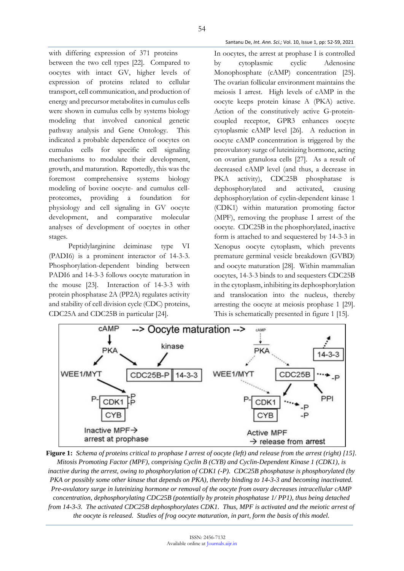with differing expression of 371 proteins between the two cell types [22]. Compared to oocytes with intact GV, higher levels of expression of proteins related to cellular transport, cell communication, and production of energy and precursor metabolites in cumulus cells were shown in cumulus cells by systems biology modeling that involved canonical genetic pathway analysis and Gene Ontology. This indicated a probable dependence of oocytes on cumulus cells for specific cell signaling mechanisms to modulate their development, growth, and maturation. Reportedly, this was the foremost comprehensive systems biology modeling of bovine oocyte- and cumulus cellproteomes, providing a foundation for physiology and cell signaling in GV oocyte development, and comparative molecular analyses of development of oocytes in other stages.

Peptidylarginine deiminase type VI (PADI6) is a prominent interactor of 14-3-3. Phosphorylation-dependent binding between PADI6 and 14-3-3 follows oocyte maturation in the mouse [23]. Interaction of 14-3-3 with protein phosphatase 2A (PP2A) regulates activity and stability of cell division cycle (CDC) proteins, CDC25A and CDC25B in particular [24].

In oocytes, the arrest at prophase I is controlled by cytoplasmic cyclic Adenosine Monophosphate (cAMP) concentration [25]. The ovarian follicular environment maintains the meiosis I arrest. High levels of cAMP in the oocyte keeps protein kinase A (PKA) active. Action of the constitutively active G-proteincoupled receptor, GPR3 enhances oocyte cytoplasmic cAMP level [26]. A reduction in oocyte cAMP concentration is triggered by the preovulatory surge of luteinizing hormone, acting on ovarian granulosa cells [27]. As a result of decreased cAMP level (and thus, a decrease in PKA activity), CDC25B phosphatase is dephosphorylated and activated, causing dephosphorylation of cyclin-dependent kinase 1 (CDK1) within maturation promoting factor (MPF), removing the prophase I arrest of the oocyte. CDC25B in the phosphorylated, inactive form is attached to and sequestered by 14-3-3 in Xenopus oocyte cytoplasm, which prevents premature germinal vesicle breakdown (GVBD) and oocyte maturation [28]. Within mammalian oocytes, 14-3-3 binds to and sequesters CDC25B in the cytoplasm, inhibiting its dephosphorylation and translocation into the nucleus, thereby arresting the oocyte at meiosis prophase 1 [29]. This is schematically presented in figure 1 [15].



**Figure 1:** *Schema of proteins critical to prophase I arrest of oocyte (left) and release from the arrest (right) [15]. Mitosis Promoting Factor (MPF), comprising Cyclin B (CYB) and Cyclin-Dependent Kinase 1 (CDK1), is inactive during the arrest, owing to phosphorylation of CDK1 (-P). CDC25B phosphatase is phosphorylated (by PKA or possibly some other kinase that depends on PKA), thereby binding to 14-3-3 and becoming inactivated. Pre-ovulatory surge in luteinizing hormone or removal of the oocyte from ovary decreases intracellular cAMP concentration, dephosphorylating CDC25B (potentially by protein phosphatase 1/ PP1), thus being detached from 14-3-3. The activated CDC25B dephosphorylates CDK1. Thus, MPF is activated and the meiotic arrest of the oocyte is released. Studies of frog oocyte maturation, in part, form the basis of this model.*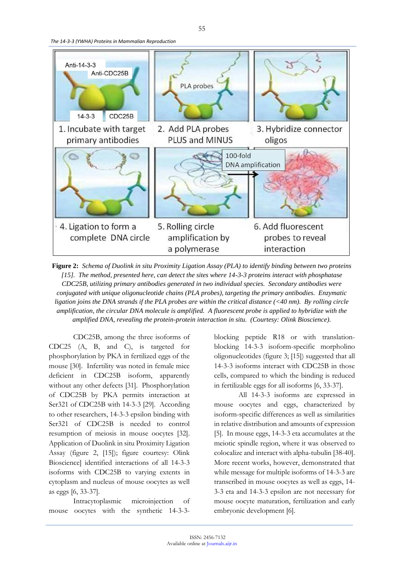*The 14-3-3 (YWHA) Proteins in Mammalian Reproduction*



**Figure 2:** *Schema of Duolink in situ Proximity Ligation Assay (PLA) to identify binding between two proteins [15]. The method, presented here, can detect the sites where 14-3-3 proteins interact with phosphatase CDC25B, utilizing primary antibodies generated in two individual species. Secondary antibodies were conjugated with unique oligonucleotide chains (PLA probes), targeting the primary antibodies. Enzymatic ligation joins the DNA strands if the PLA probes are within the critical distance (<40 nm). By rolling circle amplification, the circular DNA molecule is amplified. A fluorescent probe is applied to hybridize with the amplified DNA, revealing the protein-protein interaction in situ. (Courtesy: Olink Bioscience).*

CDC25B, among the three isoforms of CDC25 (A, B, and C), is targeted for phosphorylation by PKA in fertilized eggs of the mouse [30]. Infertility was noted in female mice deficient in CDC25B isoform, apparently without any other defects [31]. Phosphorylation of CDC25B by PKA permits interaction at Ser321 of CDC25B with 14-3-3 [29]. According to other researchers, 14-3-3 epsilon binding with Ser321 of CDC25B is needed to control resumption of meiosis in mouse oocytes [32]. Application of Duolink in situ Proximity Ligation Assay (figure 2, [15]); figure courtesy: Olink Bioscience] identified interactions of all 14-3-3 isoforms with CDC25B to varying extents in cytoplasm and nucleus of mouse oocytes as well as eggs [6, 33-37].

Intracytoplasmic microinjection of mouse oocytes with the synthetic 14-3-3blocking peptide R18 or with translationblocking 14-3-3 isoform-specific morpholino oligonucleotides (figure 3; [15]) suggested that all 14-3-3 isoforms interact with CDC25B in those cells, compared to which the binding is reduced in fertilizable eggs for all isoforms [6, 33-37].

All 14-3-3 isoforms are expressed in mouse oocytes and eggs, characterized by isoform-specific differences as well as similarities in relative distribution and amounts of expression [5]. In mouse eggs, 14-3-3 eta accumulates at the meiotic spindle region, where it was observed to colocalize and interact with alpha-tubulin [38-40]. More recent works, however, demonstrated that while message for multiple isoforms of 14-3-3 are transcribed in mouse oocytes as well as eggs, 14- 3-3 eta and 14-3-3 epsilon are not necessary for mouse oocyte maturation, fertilization and early embryonic development [6].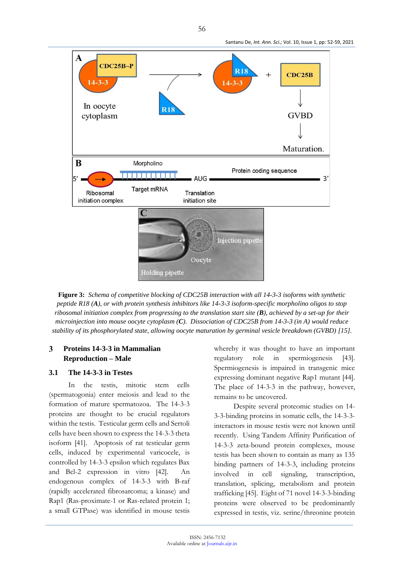

**Figure 3:** *Schema of competitive blocking of CDC25B interaction with all 14-3-3 isoforms with synthetic peptide R18 (A), or with protein synthesis inhibitors like 14-3-3 isoform-specific morpholino oligos to stop ribosomal initiation complex from progressing to the translation start site (B), achieved by a set-up for their microinjection into mouse oocyte cytoplasm (C). Dissociation of CDC25B from 14-3-3 (in A) would reduce stability of its phosphorylated state, allowing oocyte maturation by germinal vesicle breakdown (GVBD) [15]*.

#### 3 **Proteins 14-3-3 in Mammalian Reproduction – Male**

### **3.1 The 14-3-3 in Testes**

In the testis, mitotic stem cells (spermatogonia) enter meiosis and lead to the formation of mature spermatozoa. The 14-3-3 proteins are thought to be crucial regulators within the testis. Testicular germ cells and Sertoli cells have been shown to express the 14-3-3 theta isoform [41]. Apoptosis of rat testicular germ cells, induced by experimental varicocele, is controlled by 14-3-3 epsilon which regulates Bax and Bcl-2 expression in vitro [42]. An endogenous complex of 14-3-3 with B-raf (rapidly accelerated fibrosarcoma; a kinase) and Rap1 (Ras-proximate-1 or Ras-related protein 1; a small GTPase) was identified in mouse testis

whereby it was thought to have an important regulatory role in spermiogenesis [43]. Spermiogenesis is impaired in transgenic mice expressing dominant negative Rap1 mutant [44]. The place of 14-3-3 in the pathway, however, remains to be uncovered.

Despite several proteomic studies on 14- 3-3-binding proteins in somatic cells, the 14-3-3 interactors in mouse testis were not known until recently. Using Tandem Affinity Purification of 14-3-3 zeta-bound protein complexes, mouse testis has been shown to contain as many as 135 binding partners of 14-3-3, including proteins involved in cell signaling, transcription, translation, splicing, metabolism and protein trafficking [45]. Eight of 71 novel 14-3-3-binding proteins were observed to be predominantly expressed in testis, viz. serine/threonine protein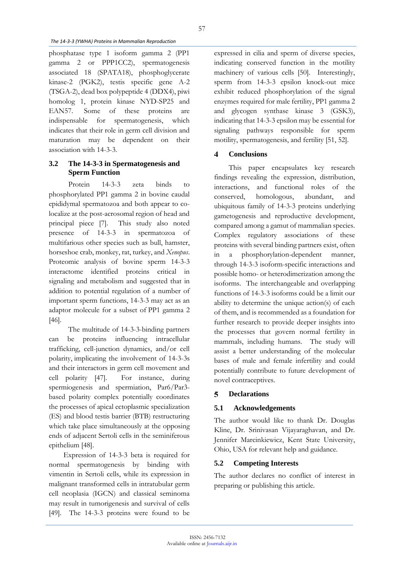phosphatase type 1 isoform gamma 2 (PP1 gamma 2 or PPP1CC2), spermatogenesis associated 18 (SPATA18), phosphoglycerate kinase-2 (PGK2), testis specific gene A-2 (TSGA-2), dead box polypeptide 4 (DDX4), piwi homolog 1, protein kinase NYD-SP25 and EAN57. Some of these proteins are indispensable for spermatogenesis, which indicates that their role in germ cell division and maturation may be dependent on their association with 14-3-3.

# **3.2 The 14-3-3 in Spermatogenesis and Sperm Function**

Protein 14-3-3 zeta binds to phosphorylated PP1 gamma 2 in bovine caudal epididymal spermatozoa and both appear to colocalize at the post-acrosomal region of head and principal piece [7]. This study also noted presence of 14-3-3 in spermatozoa of multifarious other species such as bull, hamster, horseshoe crab, monkey, rat, turkey, and *Xenopus*. Proteomic analysis of bovine sperm 14-3-3 interactome identified proteins critical in signaling and metabolism and suggested that in addition to potential regulation of a number of important sperm functions, 14-3-3 may act as an adaptor molecule for a subset of PP1 gamma 2 [46].

The multitude of 14-3-3-binding partners can be proteins influencing intracellular trafficking, cell-junction dynamics, and/or cell polarity, implicating the involvement of 14-3-3s and their interactors in germ cell movement and cell polarity [47]. For instance, during spermiogenesis and spermiation, Par6/Par3 based polarity complex potentially coordinates the processes of apical ectoplasmic specialization (ES) and blood testis barrier (BTB) restructuring which take place simultaneously at the opposing ends of adjacent Sertoli cells in the seminiferous epithelium [48].

Expression of 14-3-3 beta is required for normal spermatogenesis by binding with vimentin in Sertoli cells, while its expression in malignant transformed cells in intratubular germ cell neoplasia (IGCN) and classical seminoma may result in tumorigenesis and survival of cells [49]. The 14-3-3 proteins were found to be

expressed in cilia and sperm of diverse species, indicating conserved function in the motility machinery of various cells [50]. Interestingly, sperm from 14-3-3 epsilon knock-out mice exhibit reduced phosphorylation of the signal enzymes required for male fertility, PP1 gamma 2 and glycogen synthase kinase 3 (GSK3), indicating that 14-3-3 epsilon may be essential for signaling pathways responsible for sperm motility, spermatogenesis, and fertility [51, 52].

#### $\blacktriangleleft$ **Conclusions**

This paper encapsulates key research findings revealing the expression, distribution, interactions, and functional roles of the conserved, homologous, abundant, and ubiquitous family of 14-3-3 proteins underlying gametogenesis and reproductive development, compared among a gamut of mammalian species. Complex regulatory associations of these proteins with several binding partners exist, often in a phosphorylation-dependent manner, through 14-3-3 isoform-specific interactions and possible homo- or heterodimerization among the isoforms. The interchangeable and overlapping functions of 14-3-3 isoforms could be a limit our ability to determine the unique action(s) of each of them, and is recommended as a foundation for further research to provide deeper insights into the processes that govern normal fertility in mammals, including humans. The study will assist a better understanding of the molecular bases of male and female infertility and could potentially contribute to future development of novel contraceptives.

#### 5 **Declarations**

# **5.1 Acknowledgements**

The author would like to thank Dr. Douglas Kline, Dr. Srinivasan Vijayaraghavan, and Dr. Jennifer Marcinkiewicz, Kent State University, Ohio, USA for relevant help and guidance.

# **5.2 Competing Interests**

The author declares no conflict of interest in preparing or publishing this article.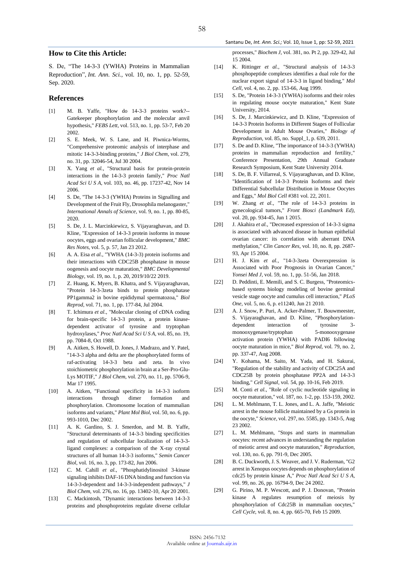#### **How to Cite this Article:**

S. De, "The 14-3-3 (YWHA) Proteins in Mammalian Reproduction", *Int. Ann. Sci.*, vol. 10, no. 1, pp. 52-59, Sep. 2020.

#### **References**

- [1] M. B. Yaffe, "How do 14-3-3 proteins work?-- Gatekeeper phosphorylation and the molecular anvil hypothesis," *FEBS Lett,* vol. 513, no. 1, pp. 53-7, Feb 20 2002.
- [2] S. E. Meek, W. S. Lane, and H. Piwnica-Worms, "Comprehensive proteomic analysis of interphase and mitotic 14-3-3-binding proteins," *J Biol Chem,* vol. 279, no. 31, pp. 32046-54, Jul 30 2004.
- [3] X. Yang *et al.*, "Structural basis for protein-protein interactions in the 14-3-3 protein family," *Proc Natl Acad Sci U S A,* vol. 103, no. 46, pp. 17237-42, Nov 14 2006.
- [4] S. De, "The 14-3-3 (YWHA) Proteins in Signalling and Development of the Fruit Fly, Drosophila melanogaster," *International Annals of Science,* vol. 9, no. 1, pp. 80-85, 2020.
- [5] S. De, J. L. Marcinkiewicz, S. Vijayaraghavan, and D. Kline, "Expression of 14-3-3 protein isoforms in mouse oocytes, eggs and ovarian follicular development," *BMC Res Notes,* vol. 5, p. 57, Jan 23 2012.
- [6] A. A. Eisa *et al.*, "YWHA (14-3-3) protein isoforms and their interactions with CDC25B phosphatase in mouse oogenesis and oocyte maturation," *BMC Developmental Biology,* vol. 19, no. 1, p. 20, 2019/10/22 2019.
- [7] Z. Huang, K. Myers, B. Khatra, and S. Vijayaraghavan, "Protein 14-3-3zeta binds to protein phosphatase PP1gamma2 in bovine epididymal spermatozoa," *Biol Reprod,* vol. 71, no. 1, pp. 177-84, Jul 2004.
- [8] T. Ichimura *et al.*, "Molecular cloning of cDNA coding for brain-specific 14-3-3 protein, a protein kinasedependent activator of tyrosine and tryptophan hydroxylases," *Proc Natl Acad Sci U S A,* vol. 85, no. 19, pp. 7084-8, Oct 1988.
- [9] A. Aitken, S. Howell, D. Jones, J. Madrazo, and Y. Patel, "14-3-3 alpha and delta are the phosphorylated forms of raf-activating 14-3-3 beta and zeta. In vivo stoichiometric phosphorylation in brain at a Ser-Pro-Glu-Lys MOTIF," *J Biol Chem,* vol. 270, no. 11, pp. 5706-9, Mar 17 1995.
- [10] A. Aitken, "Functional specificity in 14-3-3 isoform interactions through dimer formation and phosphorylation. Chromosome location of mammalian isoforms and variants," *Plant Mol Biol,* vol. 50, no. 6, pp. 993-1010, Dec 2002.
- [11] A. K. Gardino, S. J. Smerdon, and M. B. Yaffe, "Structural determinants of 14-3-3 binding specificities and regulation of subcellular localization of 14-3-3 ligand complexes: a comparison of the X-ray crystal structures of all human 14-3-3 isoforms," *Semin Cancer Biol,* vol. 16, no. 3, pp. 173-82, Jun 2006.
- [12] C. M. Cahill *et al.*, "Phosphatidylinositol 3-kinase signaling inhibits DAF-16 DNA binding and function via 14-3-3-dependent and 14-3-3-independent pathways," *J Biol Chem,* vol. 276, no. 16, pp. 13402-10, Apr 20 2001.
- [13] C. Mackintosh, "Dynamic interactions between 14-3-3 proteins and phosphoproteins regulate diverse cellular

processes," *Biochem J,* vol. 381, no. Pt 2, pp. 329-42, Jul 15 2004.

- [14] K. Rittinger *et al.*, "Structural analysis of 14-3-3 phosphopeptide complexes identifies a dual role for the nuclear export signal of 14-3-3 in ligand binding," *Mol Cell,* vol. 4, no. 2, pp. 153-66, Aug 1999.
- [15] S. De, "Protein 14-3-3 (YWHA) isoforms and their roles in regulating mouse oocyte maturation," Kent State University, 2014.
- [16] S. De, J. Marcinkiewicz, and D. Kline, "Expression of 14-3-3 Protein Isoforms in Different Stages of Follicular Development in Adult Mouse Ovaries," *Biology of Reproduction,* vol. 85, no. Suppl\_1, p. 639, 2011.
- [17] S. De and D. Kline, "The importance of 14-3-3 (YWHA) proteins in mammalian reproduction and fertility," Conference Presentation, 29th Annual Graduate Research Symposium, Kent State University 2014.
- [18] S. De, B. F. Villarreal, S. Vijayaraghavan, and D. Kline, "Identification of 14-3-3 Protein Isoforms and their Differential Subcellular Distribution in Mouse Oocytes and Eggs," *Mol Biol Cell* #381 vol. 22, 2011.
- [19] W. Zhang *et al.*, "The role of 14-3-3 proteins in gynecological tumors," *Front Biosci (Landmark Ed),*  vol. 20, pp. 934-45, Jun 1 2015.
- [20] J. Akahira *et al.*, "Decreased expression of 14-3-3 sigma is associated with advanced disease in human epithelial ovarian cancer: its correlation with aberrant DNA methylation," *Clin Cancer Res,* vol. 10, no. 8, pp. 2687- 93, Apr 15 2004.
- [21] H. J. Kim *et al.*, "14-3-3zeta Overexpression is Associated with Poor Prognosis in Ovarian Cancer," *Yonsei Med J,* vol. 59, no. 1, pp. 51-56, Jan 2018.
- [22] D. Peddinti, E. Memili, and S. C. Burgess, "Proteomicsbased systems biology modeling of bovine germinal vesicle stage oocyte and cumulus cell interaction," *PLoS One,* vol. 5, no. 6, p. e11240, Jun 21 2010.
- [23] A. J. Snow, P. Puri, A. Acker-Palmer, T. Bouwmeester, S. Vijayaraghavan, and D. Kline, "Phosphorylationdependent interaction of tyrosine 3 monooxygenase/tryptophan 5-monooxygenase activation protein (YWHA) with PADI6 following oocyte maturation in mice," *Biol Reprod,* vol. 79, no. 2, pp. 337-47, Aug 2008.
- [24] Y. Kohama, M. Saito, M. Yada, and H. Sakurai, "Regulation of the stability and activity of CDC25A and CDC25B by protein phosphatase PP2A and 14-3-3 binding," *Cell Signal,* vol. 54, pp. 10-16, Feb 2019.
- [25] M. Conti *et al.*, "Role of cyclic nucleotide signaling in oocyte maturation," vol. 187, no. 1-2, pp. 153-159, 2002.
- [26] L. M. Mehlmann, T. L. Jones, and L. A. Jaffe, "Meiotic arrest in the mouse follicle maintained by a Gs protein in the oocyte," *Science,* vol. 297, no. 5585, pp. 1343-5, Aug 23 2002.
- [27] L. M. Mehlmann, "Stops and starts in mammalian oocytes: recent advances in understanding the regulation of meiotic arrest and oocyte maturation," *Reproduction,*  vol. 130, no. 6, pp. 791-9, Dec 2005.
- [28] B. C. Duckworth, J. S. Weaver, and J. V. Ruderman, "G2 arrest in Xenopus oocytes depends on phosphorylation of cdc25 by protein kinase A," *Proc Natl Acad Sci U S A,*  vol. 99, no. 26, pp. 16794-9, Dec 24 2002.
- [29] G. Pirino, M. P. Wescott, and P. J. Donovan, "Protein kinase A regulates resumption of meiosis by phosphorylation of Cdc25B in mammalian oocytes," *Cell Cycle,* vol. 8, no. 4, pp. 665-70, Feb 15 2009.